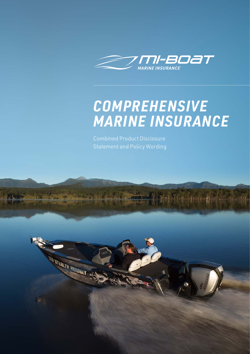

# *COMPREHENSIVE*  **MARINE INSURANCE**

Combined Product Disclosure Statement and Policy Wording

**STEALTRAIGHT**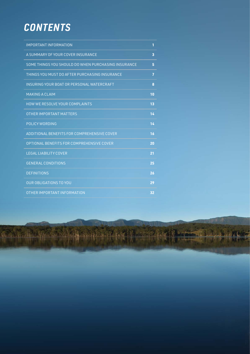## *CONTENTS*

| <b>IMPORTANT INFORMATION</b>                        | 1                       |
|-----------------------------------------------------|-------------------------|
| A SUMMARY OF YOUR COVER INSURANCE                   | $\overline{\mathbf{3}}$ |
| SOME THINGS YOU SHOULD DO WHEN PURCHASING INSURANCE | 5                       |
| THINGS YOU MUST DO AFTER PURCHASING INSURANCE       | $\overline{1}$          |
| INSURING YOUR BOAT OR PERSONAL WATERCRAFT           | 8                       |
| <b>MAKING A CLAIM</b>                               | 10                      |
| <b>HOW WE RESOLVE YOUR COMPLAINTS</b>               | 13                      |
| OTHER IMPORTANT MATTERS                             | 14                      |
| POLICY WORDING                                      | 14                      |
| ADDITIONAL BENEFITS FOR COMPREHENSIVE COVER         | 16                      |
| OPTIONAL BENEFITS FOR COMPREHENSIVE COVER           | 20                      |
| <b>LEGAL LIABILITY COVER</b>                        | 21                      |
| <b>GENERAL CONDITIONS</b>                           | 25                      |
| <b>DEFINITIONS</b>                                  | 26                      |
| <b>OUR OBLIGATIONS TO YOU</b>                       | 29                      |
| OTHER IMPORTANT INFORMATION                         | 32                      |

a alla manana masalabi in gasara merit se rapare p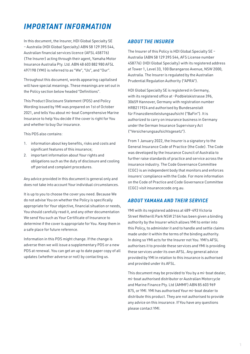### <span id="page-2-0"></span>*IMPORTANT INFORMATION*

In this document, the Insurer, HDI Global Specialty SE – Australia (HDI Global Specialty) ABN 58 129 395 544, Australian financial services licence (AFSL 458776) (The Insurer) acting through their agent, Yamaha Motor Insurance Australia Pty. Ltd. ABN 48 603 882 980 AFSL 497198 (YMI) is referred to as "We", "Us", and "Our".

Throughout this document, words appearing capitalised will have special meanings. These meanings are set out in the Policy section below headed "Definitions".

This Product Disclosure Statement (PDS) and Policy Wording issued by YMI was prepared on 1st of October 2021, and tells You about mi-boat Comprehensive Marine Insurance to help You decide if the cover is right for You and whether to buy Our insurance.

This PDS also contains:

- 1. information about key benefits, risks and costs and significant features of this insurance;
- 2. important information about Your rights and obligations such as the duty of disclosure and cooling off period and complaint procedures.

Any advice provided in this document is general only and does not take into account Your individual circumstances.

It is up to you to choose the cover you need. Because We do not advise You on whether the Policy is specifically appropriate for Your objective, financial situation or needs, You should carefully read it, and any other documentation We send You such as Your Certificate of Insurance to determine if the cover is appropriate for You. Keep them in a safe place for future reference.

Information in this PDS might change. If the change is adverse then we will issue a supplementary PDS or a new PDS at renewal. You can get an up to date paper copy of all updates (whether adverse or not) by contacting us.

#### *ABOUT THE INSURER*

The Insurer of this Policy is HDI Global Specialty SE – Australia (ABN 58 129 395 544, AFS License number 458776) (HDI Global Specialty) with its registered address at Tower 1, Level 33, 100 Barangaroo Avenue, NSW 2000, Australia. The Insurer is regulated by the Australian Prudential Regulation Authority ("APRA").

HDI Global Specialty SE is registered in Germany, with its registered office at -Podbielskistrasse 396, 30659 Hannover, Germany with registration number HRB211924 and authorised by Bundesanstalt für Finanzdienstleistungsaufsicht ("BaFin"). It is authorized to carry on insurance business in Germany under the German Insurance Supervisory Act ("Versicherungsaufsichtsgesetz").

From 1 January 2022, the Insurer is a signatory to the General Insurance Code of Practice (the Code). The Code was developed by the Insurance Council of Australia to further raise standards of practice and service across the insurance industry. The Code Governance Committee (CGC) is an independent body that monitors and enforces insurers' compliance with the Code. For more information on the Code of Practice and Code Governance Committee (CGC) visit insurancecode.org.au.

#### *ABOUT YAMAHA AND THEIR SERVICE*

YMI with its registered address at 489-493 Victoria Street Wetherill Park NSW 2164 has been given a binding authority by the Insurer which allows YMI to enter into this Policy, to administer it and to handle and settle claims made under it within the terms of the binding authority. In doing so YMI acts for the Insurer not You. YMI's AFSL authorises it to provide these services and YMI is providing these services under its own AFSL. Any general advice provided by YMI in relation to this insurance is authorised and provided under its AFSL.

This document may be provided to You by a mi-boat dealer, mi-boat authorised distributor or Australian Motorcycle and Marine Finance Pty. Ltd (AMMF) ABN 85 603 969 875, or YMI. YMI has authorised Your mi-boat dealer to distribute this product. They are not authorised to provide any advice on this insurance. If You have any questions please contact YMI.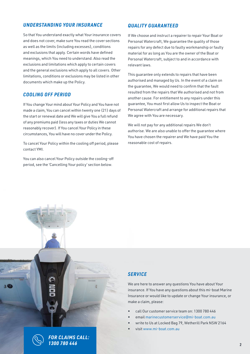#### *UNDERSTANDING YOUR INSURANCE*

So that You understand exactly what Your insurance covers and does not cover, make sure You read the cover sections as well as the limits (including excesses), conditions and exclusions that apply. Certain words have defined meanings, which You need to understand. Also read the exclusions and limitations which apply to certain covers and the general exclusions which apply to all covers. Other limitations, conditions or exclusions may be listed in other documents which make up the Policy.

#### *COOLING OFF PERIOD*

If You change Your mind about Your Policy and You have not made a claim, You can cancel within twenty one (21) days of the start or renewal date and We will give You a full refund of any premiums paid (less any taxes or duties We cannot reasonably recover). If You cancel Your Policy in these circumstances, You will have no cover under the Policy.

To cancel Your Policy within the cooling off period, please contact YMI.

You can also cancel Your Policy outside the cooling-off period, see the 'Cancelling Your policy' section below.

#### *QUALITY GUARANTEED*

If We choose and instruct a repairer to repair Your Boat or Personal Watercraft, We guarantee the quality of those repairs for any defect due to faulty workmanship or faulty material for as long as You are the owner of the Boat or Personal Watercraft, subject to and in accordance with relevant laws.

This guarantee only extends to repairs that have been authorised and managed by Us. In the event of a claim on the guarantee, We would need to confirm that the fault resulted from the repairs that We authorised and not from another cause. For entitlement to any repairs under this guarantee, You must first allow Us to inspect the Boat or Personal Watercraft and arrange for additional repairs that We agree with You are necessary.

We will not pay for any additional repairs We don't authorise. We are also unable to offer the guarantee where You have chosen the repairer and We have paid You the reasonable cost of repairs.

### *SERVICE*

We are here to answer any questions You have about Your insurance. If You have any questions about this mi-boat Marine Insurance or would like to update or change Your insurance, or make a claim, please:

- call Our customer service team on: 1300 780 446
- email marinecustomerservice@mi-boat.com.au
- write to Us at Locked Bag 79, Wetherill Park NSW 2164
- visit www.mi-boat.com.au



*FOR CLAIMS CALL: 1300 780 446*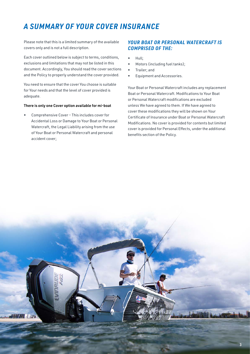### *A SUMMARY OF YOUR COVER INSURANCE*

Please note that this is a limited summary of the available covers only and is not a full description.

Each cover outlined below is subject to terms, conditions, exclusions and limitations that may not be listed in this document. Accordingly, You should read the cover sections and the Policy to properly understand the cover provided.

You need to ensure that the cover You choose is suitable for Your needs and that the level of cover provided is adequate.

#### There is only one Cover option available for mi-boat

• Comprehensive Cover – This includes cover for Accidental Loss or Damage to Your Boat or Personal Watercraft, the Legal Liability arising from the use of Your Boat or Personal Watercraft and personal accident cover;

#### *YOUR BOAT OR PERSONAL WATERCRAFT IS COMPRISED OF THE:*

- Hull;
- Motors (including fuel tanks);
- Trailer; and
- Equipment and Accessories.

Your Boat or Personal Watercraft includes any replacement Boat or Personal Watercraft. Modifications to Your Boat or Personal Watercraft modifications are excluded unless We have agreed to them. If We have agreed to cover these modifications they will be shown on Your Certificate of Insurance under Boat or Personal Watercraft Modifications. No cover is provided for contents but limited cover is provided for Personal Effects, under the additional benefits section of the Policy.

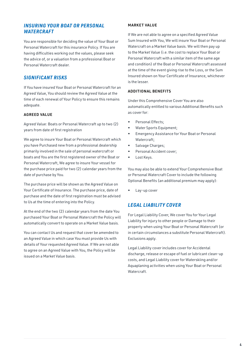#### *INSURING YOUR BOAT OR PERSONAL WATERCRAFT*

You are responsible for deciding the value of Your Boat or Personal Watercraft for this insurance Policy. If You are having difficulties working out the values, please seek the advice of, or a valuation from a professional Boat or Personal Watercraft dealer.

#### *SIGNIFICANT RISKS*

If You have insured Your Boat or Personal Watercraft for an Agreed Value, You should review the Agreed Value at the time of each renewal of Your Policy to ensure this remains adequate.

#### AGREED VALUE

Agreed Value: Boats or Personal Watercraft up to two (2) years from date of first registration

We agree to insure Your Boat or Personal Watercraft which you have Purchased new from a professional dealership primarily involved in the sale of personal watercraft or boats and You are the first registered owner of the Boat or Personal Watercraft, We agree to insure Your vessel for the purchase price paid for two (2) calendar years from the date of purchase by You.

The purchase price will be shown as the Agreed Value on Your Certificate of Insurance. The purchase price, date of purchase and the date of first registration must be advised to Us at the time of entering into the Policy.

At the end of the two (2) calendar years from the date You purchased Your Boat or Personal Watercraft the Policy will automatically convert to operate on a Market Value basis.

You can contact Us and request that cover be amended to an Agreed Value in which case You must provide Us with details of Your requested Agreed Value. If We are not able to agree on an Agreed Value with You, the Policy will be issued on a Market Value basis.

#### MARKET VALUE

If We are not able to agree on a specified Agreed Value Sum Insured with You, We will insure Your Boat or Personal Watercraft on a Market Value basis. We will then pay up to the Market Value (i.e. the cost to replace Your Boat or Personal Watercraft with a similar item of the same age and condition) of the Boat or Personal Watercraft assessed at the time of the event giving rise to the Loss, or the Sum Insured shown on Your Certificate of Insurance, whichever is the lesser.

#### ADDITIONAL BENEFITS

Under this Comprehensive Cover You are also automatically entitled to various Additional Benefits such as cover for:

- Personal Effects:
- Water Sports Equipment;
- Emergency Assistance for Your Boat or Personal Watercraft;
- Salvage Charges;
- Personal Accident cover;
- Lost Keys.

You may also be able to extend Your Comprehensive Boat or Personal Watercraft Cover to include the following Optional Benefits (an additional premium may apply):

Lay-up cover

#### *LEGAL LIABILITY COVER*

For Legal Liability Cover, We cover You for Your Legal Liability for injury to other people or Damage to their property when using Your Boat or Personal Watercraft (or in certain circumstances a substitute Personal Watercraft). Exclusions apply.

Legal Liability cover includes cover for Accidental discharge, release or escape of fuel or lubricant clean-up costs, and Legal Liability cover for Waterskiing and/or Aquaplaning activities when using Your Boat or Personal **Watercraft**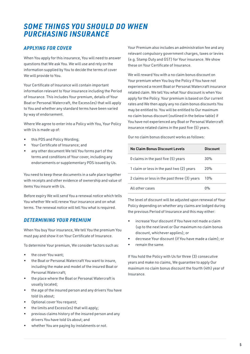### *SOME THINGS YOU SHOULD DO WHEN PURCHASING INSURANCE*

#### *APPLYING FOR COVER*

When You apply for this insurance, You will need to answer questions that We ask You. We will use and rely on the information supplied by You to decide the terms of cover We will provide to You.

Your Certificate of Insurance will contain important information relevant to Your insurance including the Period of Insurance. This includes Your premium, details of Your Boat or Personal Watercraft, the Excess(es) that will apply to You and whether any standard terms have been varied by way of endorsement.

Where We agree to enter into a Policy with You, Your Policy with Us is made up of:

- this PDS and Policy Wording;
- Your Certificate of Insurance; and
- any other document We tell You forms part of the terms and conditions of Your cover, including any endorsements or supplementary PDS issued by Us.

You need to keep these documents in a safe place together with receipts and other evidence of ownership and value of items You insure with Us.

Before expiry We will send You a renewal notice which tells You whether We will renew Your insurance and on what terms. The renewal notice will tell You what is required.

#### *DETERMINING YOUR PREMIUM*

When You buy Your insurance, We tell You the premium You must pay and show it on Your Certificate of Insurance.

To determine Your premium, We consider factors such as:

- the cover You want;
- the Boat or Personal Watercraft You want to insure, including the make and model of the insured Boat or Personal Watercraft;
- the place where the Boat or Personal Watercraft is usually located;
- the age of the insured person and any drivers You have told Us about;
- Optional cover You request:
- the limits and Excess(es) that will apply;
- previous claims history of the insured person and any drivers You have told Us about; and
- whether You are paying by instalments or not.

Your Premium also includes an administration fee and any relevant compulsory government charges, taxes or levies (e.g. Stamp Duty and GST) for Your insurance. We show these on Your Certificate of Insurance.

We will reward You with a no claim bonus discount on Your premium when You buy the Policy if You have not experienced a recent Boat or Personal Watercraft insurance related claim. We tell You what Your discount is when You apply for the Policy. Your premium is based on Our current rates and We then apply any no claim bonus discounts You may be entitled to. You will be entitled to Our maximum no claim bonus discount (outlined in the below table) if You have not experienced any Boat or Personal Watercraft insurance related claims in the past five (5) years.

Our no claim bonus discount works as follows:

| No Claim Bonus Discount Levels               | Discount         |
|----------------------------------------------|------------------|
| 0 claims in the past five (5) years          | 30%              |
| 1 claim or less in the past two (2) years    | 20%              |
| 2 claims or less in the past three (3) years | 10%              |
| All other cases                              | $\Omega_{\rm o}$ |

The level of discount will be adjusted upon renewal of Your Policy depending on whether any claims are lodged during the previous Period of Insurance and this may either:

- increase Your discount if You have not made a claim (up to the next level or Our maximum no claim bonus discount, whichever applies); or
- decrease Your discount (if You have made a claim); or
- remain the same.

If You hold the Policy with Us for three (3) consecutive years and make no claims, We guarantee to apply Our maximum no claim bonus discount the fourth (4th) year of Insurance.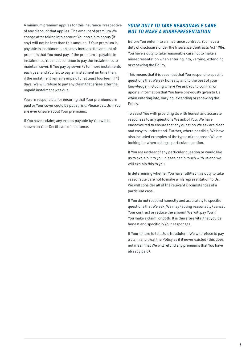A minimum premium applies for this insurance irrespective of any discount that applies. The amount of premium We charge after taking into account Your no claim bonus (if any) will not be less than this amount. If Your premium is payable in instalments, this may increase the amount of premium that You must pay. If the premium is payable in instalments, You must continue to pay the instalments to maintain cover. If You pay by seven (7)or more instalments each year and You fail to pay an instalment on time then, if the instalment remains unpaid for at least fourteen (14) days, We will refuse to pay any claim that arises after the unpaid instalment was due.

You are responsible for ensuring that Your premiums are paid or Your cover could be put at risk. Please call Us if You are ever unsure about Your premiums.

If You have a claim, any excess payable by You will be shown on Your Certificate of Insurance.

#### *YOUR DUTY TO TAKE REASONABLE CARE NOT TO MAKE A MISREPRESENTATION*

Before You enter into an insurance contract, You have a duty of disclosure under the Insurance Contracts Act 1984. You have a duty to take reasonable care not to make a misrepresentation when entering into, varying, extending or renewing the Policy.

This means that it is essential that You respond to specific questions that We ask honestly and to the best of your knowledge, including where We ask You to confirm or update information that You have previously given to Us when entering into, varying, extending or renewing the Policy.

To assist You with providing Us with honest and accurate responses to any questions We ask of You, We have endeavoured to ensure that any question We ask are clear and easy to understand. Further, where possible, We have also included examples of the types of responses We are looking for when asking a particular question.

If You are unclear of any particular question or would like us to explain it to you, please get in touch with us and we will explain this to you.

In determining whether You have fulfilled this duty to take reasonable care not to make a misrepresentation to Us, We will consider all of the relevant circumstances of a particular case.

If You do not respond honestly and accurately to specific questions that We ask, We may (acting reasonably) cancel Your contract or reduce the amount We will pay You if You make a claim, or both. It is therefore vital that you be honest and specific in Your responses.

If Your failure to tell Us is fraudulent, We will refuse to pay a claim and treat the Policy as if it never existed (this does not mean that We will refund any premiums that You have already paid).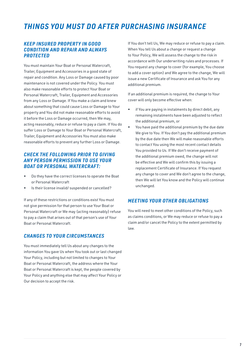### *THINGS YOU MUST DO AFTER PURCHASING INSURANCE*

#### *KEEP INSURED PROPERTY IN GOOD CONDITION AND REPAIR AND ALWAYS PROTECTED*

You must maintain Your Boat or Personal Watercraft, Trailer, Equipment and Accessories in a good state of repair and condition. Any Loss or Damage caused by poor maintenance is not covered under the Policy. You must also make reasonable efforts to protect Your Boat or Personal Watercraft, Trailer, Equipment and Accessories from any Loss or Damage. If You make a claim and knew about something that could cause Loss or Damage to Your property and You did not make reasonable efforts to avoid it before the Loss or Damage occurred, then We may, acting reasonably, reduce or refuse to pay a claim. If You do suffer Loss or Damage to Your Boat or Personal Watercraft, Trailer, Equipment and Accessories You must also make reasonable efforts to prevent any further Loss or Damage.

#### *CHECK THE FOLLOWING PRIOR TO GIVING ANY PERSON PERMISSION TO USE YOUR BOAT OR PERSONAL WATERCRAFT:*

- Do they have the correct licenses to operate the Boat or Personal Watercraft
- Is their license invalid/ suspended or cancelled?

If any of these restrictions or conditions exist You must not give permission for that person to use Your Boat or Personal Watercraft or We may (acting reasonably) refuse to pay a claim that arises out of that person's use of Your Boat or Personal Watercraft.

#### *CHANGES TO YOUR CIRCUMSTANCES*

You must immediately tell Us about any changes to the information You gave Us when You took out or last changed Your Policy, including but not limited to changes to Your Boat or Personal Watercraft, the address where the Your Boat or Personal Watercraft is kept, the people covered by Your Policy and anything else that may affect Your Policy or Our decision to accept the risk.

If You don't tell Us, We may reduce or refuse to pay a claim. When You tell Us about a change or request a change to Your Policy, We will assess the change to the risk in accordance with Our underwriting rules and processes. If You request any change to cover (for example, You choose to add a cover option) and We agree to the change, We will issue a new Certificate of Insurance and ask You for any additional premium.

If an additional premium is required, the change to Your cover will only become effective when:

- if You are paying in instalments by direct debit, any remaining instalments have been adjusted to reflect the additional premium, or
- You have paid the additional premium by the due date We give to You. If You don't pay the additional premium by the due date then We will make reasonable efforts to contact You using the most recent contact details You provided to Us. If We don't receive payment of the additional premium owed, the change will not be effective and We will confirm this by issuing a replacement Certificate of Insurance. If You request any change to cover and We don't agree to the change, then We will let You know and the Policy will continue unchanged.

#### *MEETING YOUR OTHER OBLIGATIONS*

You will need to meet other conditions of the Policy, such as claims conditions, or We may reduce or refuse to pay a claim and/or cancel the Policy to the extent permitted by law.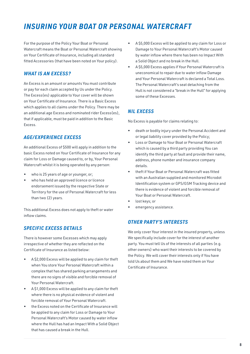### *INSURING YOUR BOAT OR PERSONAL WATERCRAFT*

For the purpose of the Policy Your Boat or Personal Watercraft means the Boat or Personal Watercraft showing on Your Certificate of Insurance, including all standard fitted Accessories (that have been noted on Your policy).

#### *WHAT IS AN EXCESS?*

An Excess is an amount or amounts You must contribute or pay for each claim accepted by Us under the Policy. The Excess(es) applicable to Your cover will be shown on Your Certificate of Insurance. There is a Basic Excess which applies to all claims under the Policy. There may be an additional age Excess and nominated rider Excess(es), that if applicable, must be paid in addition to the Basic Excess.

#### *AGE/EXPERIENCE EXCESS*

An additional Excess of \$500 will apply in addition to the basic Excess noted on Your Certificate of Insurance for any claim for Loss or Damage caused to, or by, Your Personal Watercraft whilst it is being operated by any person:

- who is 25 years of age or younger, or;
- who has held an approved licence or licence endorsement issued by the respective State or Territory for the use of Personal Watercraft for less than two (2) years.

This additional Excess does not apply to theft or water inflow claims.

#### *SPECIFIC EXCESS DETAILS*

There is however some Excesses which may apply irrespective of whether they are reflected on the Certificate of Insurance as listed below:

- A \$2,000 Excess will be applied to any claim for theft when You store Your Personal Watercraft within a complex that has shared parking arrangements and there are no signs of visible and forcible removal of Your Personal Watercraft.
- A \$1,000 Excess will be applied to any claim for theft where there is no physical evidence of violent and forcible removal of Your Personal Watercraft.
- the Excess noted on the Certificate of Insurance will be applied to any claim for Loss or Damage to Your Personal Watercraft's Motor caused by water inflow where the Hull has had an Impact With a Solid Object that has caused a break in the Hull.
- A \$5,000 Excess will be applied to any claim for Loss or Damage to Your Personal Watercraft's Motor caused by water inflow where there has been no Impact With a Solid Object and no break in the Hull.
- A \$5,000 Excess applies if Your Personal Watercraft is uneconomical to repair due to water inflow Damage and Your Personal Watercraft is declared a Total Loss. The Personal Watercraft's seat detaching from the Hull is not considered a "break in the Hull" for applying some of these Excesses.

#### *NIL EXCESS*

No Excess is payable for claims relating to:

- death or bodily injury under the Personal Accident and or legal liability cover provided by the Policy;
- Loss or Damage to Your Boat or Personal Watercraft which is caused by a third party providing You can identify the third party at fault and provide their name, address, phone number and insurance company details.
- theft if Your Boat or Personal Watercraft was fitted with an Australian supplied and monitored Microdot Identification system or GPS/GSM Tracking device and there is evidence of violent and forcible removal of Your Boat or Personal Watercraft.
- lost keys; or
- emergency assistance.

#### *OTHER PARTY'S INTERESTS*

We only cover Your interest in the insured property, unless We specifically include cover for the interest of another party. You must tell Us of the interests of all parties (e.g. other owners) who want their interests to be covered by the Policy. We will cover their interests only if You have told Us about them and We have noted them on Your Certificate of Insurance.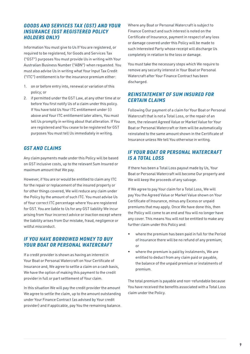#### **GOODS AND SERVICES TAX (GST) AND YOUR** *INSURANCE (GST REGISTERED POLICY HOLDERS ONLY)*

Information You must give to Us If You are registered, or required to be registered, for Goods and Services Tax ("GST") purposes You must provide Us in writing with Your Australian Business Number ("ABN") when requested. You must also advise Us in writing what Your Input Tax Credit ("ITC") entitlement is for the insurance premium either:

- 1. on or before entry into, renewal or variation of this policy; or
- 2. if permitted under the GST Law, at any other time at or before You first notify Us of a claim under this policy. If You have told Us Your ITC entitlement under (i) above and Your ITC entitlement later alters, You must tell Us promptly in writing about that alteration. If You are registered and You cease to be registered for GST purposes You must tell Us immediately in writing.

#### *GST AND CLAIMS*

Any claim payments made under this Policy will be based on GST inclusive costs, up to the relevant Sum Insured or maximum amount that We pay.

However, if You are or would be entitled to claim any ITC for the repair or replacement of the insured property or for other things covered, We will reduce any claim under the Policy by the amount of such ITC. You must advise Us of Your correct ITC percentage where You are registered for GST. You are liable to Us for any GST liability We incur arising from Your incorrect advice or inaction except where the liability arises from Our mistake, fraud, negligence or willful misconduct.

#### *IF YOU HAVE BORROWED MONEY TO BUY YOUR BOAT OR PERSONAL WATERCRAFT*

If a credit provider is shown as having an interest in Your Boat or Personal Watercraft on Your Certificate of Insurance and, We agree to settle a claim on a cash basis, We have the option of making this payment to the credit provider in full or part settlement of Your claim.

In this situation We will pay the credit provider the amount We agree to settle the claim, up to the amount outstanding under Your Finance Contract (as advised by Your credit provider) and if applicable, pay You the remaining balance. Where any Boat or Personal Watercraft is subject to Finance Contract and such interest is noted on the Certificate of Insurance, payment in respect of any loss or damage covered under this Policy will be made to such Interested Party whose receipt will discharge Us completely in relation to the loss or damage.

You must take the necessary steps which We require to remove any security interest in Your Boat or Personal Watercraft after Your Finance Contract has been discharged.

#### *REINSTATEMENT OF SUM INSURED FOR CERTAIN CLAIMS*

Following Our payment of a claim for Your Boat or Personal Watercraft that is not a Total Loss, or the repair of an item, the relevant Agreed Value or Market Value for Your Boat or Personal Watercraft or item will be automatically reinstated to the same amount shown in the Certificate of Insurance unless We tell You otherwise in writing.

#### *IF YOUR BOAT OR PERSONAL WATERCRAFT IS A TOTAL LOSS*

If there has been a Total Loss payout made by Us, Your Boat or Personal Watercraft will become Our property and We will keep the proceeds of any salvage.

If We agree to pay Your claim for a Total Loss, We will pay You the Agreed Value or Market Value shown on Your Certificate of Insurance, minus any Excess or unpaid premiums that may apply. Once We have done this, then the Policy will come to an end and You will no longer have any cover. This means You will not be entitled to make any further claim under this Policy and:

- where the premium has been paid in full for the Period of Insurance there will be no refund of any premium; or
- where the premium is paid by instalments, We are entitled to deduct from any claim paid or payable, the balance of the unpaid premium or instalments of premium.

The total premium is payable and non-refundable because You have received the benefits associated with a Total Loss claim under the Policy.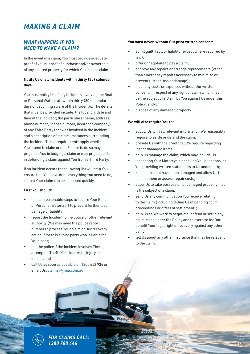### *MAKING A CLAIM*

#### *WHAT HAPPENS IF YOU NEED TO MAKE A CLAIM?*

In the event of a claim, You must provide adequate proof of value, proof of purchase and/or ownership of any insured property for which You make a claim.

#### Notify Us of all Incidents within thirty (30) calendar days

You must notify Us of any Incidents involving the Boat or Personal Watercraft within thirty (30) calendar days of becoming aware of the Incident/s. The details that must be provided include: the location, date and time of the Incident; the particulars (name, address, phone number, license number, insurance company) of any Third Party that was involved in the Incident; and a description of the circumstances surrounding the Incident. These requirements apply whether You intend to claim or not. Failure to do so may prejudice You in lodging a claim or may prejudice Us in defending a claim against You from a Third Party.

If an Incident occurs the following list will help You ensure that You have done everything You need to do, so that Your claim can be assessed quickly.

#### First You should:

- take all reasonable steps to secure Your Boat or Personal Watercraft to prevent further loss, damage or liability;
- report the Incident to the police or other relevant authority (We may need the police report number to process Your claim or Our recovery action if there is a third party who is liable for Your loss);
- tell the police if the Incident involves Theft, attempted Theft, Malicious Acts, injury or impact; and
- call Us as soon as possible on 1300 652 936 or email Us: [claims@ymia.com.au](mailto:claims@ymia.com.au)

#### You must never, without Our prior written consent:

- admit quilt, fault or liability (except where required by law);
- offer or negotiate to pay a claim;
- approve any repairs or arrange replacements (other than emergency repairs necessary to minimise or prevent further loss or damage);
- incur any costs or expenses without Our written consent, in respect of any right or claim which may be the subject of a claim by You against Us under this Policy; and/or
- dispose of any damaged property.

#### We will also require You to:

- supply Us with all relevant information We reasonably require to settle or defend the claim;
- provide Us with the proof that We require regarding lost or damaged items;
- help Us manage the claim, which may include Us
- inspecting Your Motorcycle or asking You questions, or You providing written statements to Us under oath;
- keep items that have been damaged and allow Us to inspect them or assess repair costs;
- allow Us to take possession of damaged property that is the subject of a claim;
- send Us any communication You receive relating to the claim (including telling Us of pending court proceedings or offers of settlement);
- help Us as We work to negotiate, defend or settle any claim made under the Policy and to exercise for Our benefit Your legal right of recovery against any other party;
- tell Us about any other insurance that may be relevant to the claim.



*FOR CLAIMS CALL: 1300 780 446*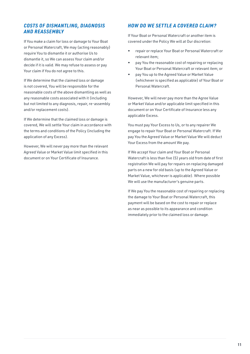#### *COSTS OF DISMANTLING, DIAGNOSIS AND REASSEMBLY*

If You make a claim for loss or damage to Your Boat or Personal Watercraft, We may (acting reasonably) require You to dismantle it or authorise Us to dismantle it, so We can assess Your claim and/or decide if it is valid. We may refuse to assess or pay Your claim if You do not agree to this.

If We determine that the claimed loss or damage is not covered, You will be responsible for the reasonable costs of the above dismantling as well as any reasonable costs associated with it (including but not limited to any diagnosis, repair, re-assembly and/or replacement costs).

If We determine that the claimed loss or damage is covered, We will settle Your claim in accordance with the terms and conditions of the Policy (including the application of any Excess).

However, We will never pay more than the relevant Agreed Value or Market Value limit specified in this document or on Your Certificate of Insurance.

#### *HOW DO WE SETTLE A COVERED CLAIM?*

If Your Boat or Personal Watercraft or another item is covered under the Policy We will at Our discretion:

- repair or replace Your Boat or Personal Watercraft or relevant item;
- pay You the reasonable cost of repairing or replacing Your Boat or Personal Watercraft or relevant item; or
- pay You up to the Agreed Value or Market Value (whichever is specified as applicable) of Your Boat or Personal Watercraft.

However, We will never pay more than the Agree Value or Market Value and/or applicable limit specified in this document or on Your Certificate of Insurance less any applicable Excess.

You must pay Your Excess to Us, or to any repairer We engage to repair Your Boat or Personal Watercraft. If We pay You the Agreed Value or Market Value We will deduct Your Excess from the amount We pay.

If We accept Your claim and Your Boat or Personal Watercraft is less than five (5) years old from date of first registration We will pay for repairs on replacing damaged parts on a new for old basis (up to the Agreed Value or Market Value, whichever is applicable). Where possible We will use the manufacturer's genuine parts.

If We pay You the reasonable cost of repairing or replacing the damage to Your Boat or Personal Watercraft, this payment will be based on the cost to repair or replace as near as possible to its appearance and condition immediately prior to the claimed loss or damage.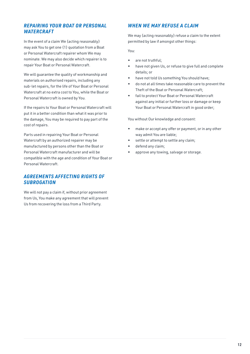#### *REPAIRING YOUR BOAT OR PERSONAL WATERCRAFT*

In the event of a claim We (acting reasonably) may ask You to get one (1) quotation from a Boat or Personal Watercraft repairer whom We may nominate. We may also decide which repairer is to repair Your Boat or Personal Watercraft.

We will guarantee the quality of workmanship and materials on authorised repairs, including any sub-let repairs, for the life of Your Boat or Personal Watercraft at no extra cost to You, while the Boat or Personal Watercraft is owned by You.

If the repairs to Your Boat or Personal Watercraft will put it in a better condition than what it was prior to the damage, You may be required to pay part of the cost of repairs.

Parts used in repairing Your Boat or Personal Watercraft by an authorized repairer may be manufactured by persons other than the Boat or Personal Watercraft manufacturer and will be compatible with the age and condition of Your Boat or Personal Watercraft.

#### *AGREEMENTS AFFECTING RIGHTS OF SUBROGATION*

We will not pay a claim if, without prior agreement from Us, You make any agreement that will prevent Us from recovering the loss from a Third Party.

#### *WHEN WE MAY REFUSE A CLAIM*

We may (acting reasonably) refuse a claim to the extent permitted by law if amongst other things:

You:

- are not truthful:
- have not given Us, or refuse to give full and complete details; or
- have not told Us something You should have;
- do not at all times take reasonable care to prevent the Theft of the Boat or Personal Watercraft;
- fail to protect Your Boat or Personal Watercraft against any initial or further loss or damage or keep Your Boat or Personal Watercraft in good order;

You without Our knowledge and consent:

- make or accept any offer or payment, or in any other way admit You are liable;
- settle or attempt to settle any claim;
- defend any claim;
- approve any towing, salvage or storage.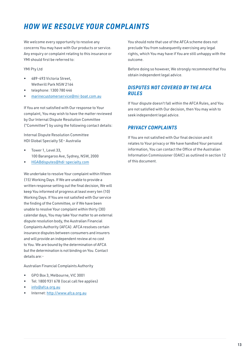### *HOW WE RESOLVE YOUR COMPLAINTS*

We welcome every opportunity to resolve any concerns You may have with Our products or service. Any enquiry or complaint relating to this insurance or YMI should first be referred to:

YMI Pty Ltd

- 489-493 Victoria Street, Wetherill Park NSW 2164
- telephone: 1300 780 446
- [marinecustomerservice@mi-boat.com.au](mailto:marinecustomerservice@mi-boat.com.au)

If You are not satisfied with Our response to Your complaint, You may wish to have the matter reviewed by Our Internal Dispute Resolution Committee ("Committee") by using the following contact details:

Internal Dispute Resolution Committee HDI Global Specialty SE– Australia

- Tower 1, Level 33, 100 Barangaroo Ave, Sydney, NSW, 2000
- [HGABdisputes@hdi-specialty.com](mailto:HGABdisputes@hdi-specialty.com)

We undertake to resolve Your complaint within fifteen (15) Working Days. If We are unable to provide a written response setting out the final decision, We will keep You informed of progress at least every ten (10) Working Days. If You are not satisfied with Our service the finding of the Committee, or if We have been unable to resolve Your complaint within thirty (30) calendar days, You may take Your matter to an external dispute resolution body, the Australian Financial Complaints Authority (AFCA). AFCA resolves certain insurance disputes between consumers and insurers and will provide an independent review at no cost to You. We are bound by the determination of AFCA but the determination is not binding on You. Contact details are:-

Australian Financial Complaints Authority

- GPO Box 3, Melbourne, VIC 3001
- Tel: 1800 931 678 (local call fee applies)
- [info@afca.org.au](mailto:info@afca.org.au)
- Internet:<http://www.afca.org.au>

You should note that use of the AFCA scheme does not preclude You from subsequently exercising any legal rights, which You may have if You are still unhappy with the outcome.

Before doing so however, We strongly recommend that You obtain independent legal advice.

#### *DISPUTES NOT COVERED BY THE AFCA RULES*

If Your dispute doesn't fall within the AFCA Rules, and You are not satisfied with Our decision, then You may wish to seek independent legal advice.

#### *PRIVACY COMPLAINTS*

If You are not satisfied with Our final decision and it relates to Your privacy or We have handled Your personal information, You can contact the Office of the Australian Information Commissioner (OAIC) as outlined in section 12 of this document.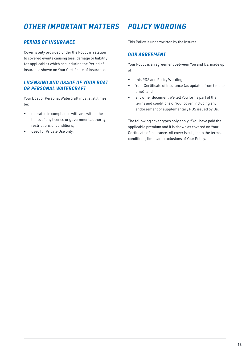### *OTHER IMPORTANT MATTERS POLICY WORDING*

#### *PERIOD OF INSURANCE*

Cover is only provided under the Policy in relation to covered events causing loss, damage or liability (as applicable) which occur during the Period of Insurance shown on Your Certificate of Insurance.

#### *LICENSING AND USAGE OF YOUR BOAT OR PERSONAL WATERCRAFT*

Your Boat or Personal Watercraft must at all times be:

- operated in compliance with and within the limits of any licence or government authority, restrictions or conditions;
- used for Private Use only.

This Policy is underwritten by the Insurer.

#### *OUR AGREEMENT*

Your Policy is an agreement between You and Us, made up of:

- this PDS and Policy Wording;
- Your Certificate of Insurance (as updated from time to time); and
- any other document We tell You forms part of the terms and conditions of Your cover, including any endorsement or supplementary PDS issued by Us.

The following cover types only apply if You have paid the applicable premium and it is shown as covered on Your Certificate of Insurance. All cover is subject to the terms, conditions, limits and exclusions of Your Policy.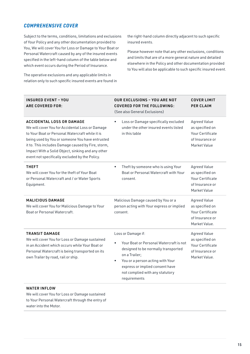#### *COMPREHENSIVE COVER*

Subject to the terms, conditions, limitations and exclusions of Your Policy and any other documentation provided to You, We will cover You for Loss or Damage to Your Boat or Personal Watercraft caused by any of the insured events specified in the left-hand column of the table below and which event occurs during the Period of Insurance.

The operative exclusions and any applicable limits in relation only to such specific insured events are found in the right-hand column directly adjacent to such specific insured events.

Please however note that any other exclusions, conditions and limits that are of a more general nature and detailed elsewhere in the Policy and other documentation provided to You will also be applicable to such specific insured event.

| <b>INSURED EVENT - YOU</b><br><b>ARE COVERED FOR:</b>                                                                                                                                                                                                                                                                                                  | <b>OUR EXCLUSIONS - YOU ARE NOT</b><br><b>COVERED FOR THE FOLLOWING:</b><br>(See also General Exclusions)                                                                                                                                                    | <b>COVER LIMIT</b><br><b>PER CLAIM</b>                                                                |
|--------------------------------------------------------------------------------------------------------------------------------------------------------------------------------------------------------------------------------------------------------------------------------------------------------------------------------------------------------|--------------------------------------------------------------------------------------------------------------------------------------------------------------------------------------------------------------------------------------------------------------|-------------------------------------------------------------------------------------------------------|
| <b>ACCIDENTAL LOSS OR DAMAGE</b><br>We will cover You for Accidental Loss or Damage<br>to Your Boat or Personal Watercraft while it is<br>being used by You or someone You have entrusted<br>it to. This includes Damage caused by Fire, storm,<br>Impact With a Solid Object, sinking and any other<br>event not specifically excluded by the Policy. | Loss or Damage specifically excluded<br>$\bullet$<br>under the other insured events listed<br>in this table                                                                                                                                                  | <b>Agreed Value</b><br>as specified on<br>Your Certificate<br>of Insurance or<br>Market Value         |
| <b>THEFT</b><br>We will cover You for the theft of Your Boat<br>or Personal Watercraft and / or Water Sports<br>Equipment.                                                                                                                                                                                                                             | Theft by someone who is using Your<br>$\bullet$<br>Boat or Personal Watercraft with Your<br>consent.                                                                                                                                                         | <b>Agreed Value</b><br>as specified on<br>Your Certificate<br>of Insurance or<br>Market Value         |
| <b>MALICIOUS DAMAGE</b><br>We will cover You for Malicious Damage to Your<br>Boat or Personal Watercraft.                                                                                                                                                                                                                                              | Malicious Damage caused by You or a<br>person acting with Your express or implied<br>consent.                                                                                                                                                                | <b>Agreed Value</b><br>as specified on<br>Your Certificate<br>of Insurance or<br>Market Value.        |
| <b>TRANSIT DAMAGE</b><br>We will cover You for Loss or Damage sustained<br>in an Accident which occurs while Your Boat or<br>Personal Watercraft is being transported on its<br>own Trailer by road, rail or ship.                                                                                                                                     | Loss or Damage if:<br>Your Boat or Personal Watercraft is not<br>designed to be normally transported<br>on a Trailer;<br>You or a person acting with Your<br>$\bullet$<br>express or implied consent have<br>not complied with any statutory<br>requirements | <b>Agreed Value</b><br>as specified on<br><b>Your Certificate</b><br>of Insurance or<br>Market Value. |
| <b>WATER INFLOW</b><br>We will cover You far Lass ar Damage sustained                                                                                                                                                                                                                                                                                  |                                                                                                                                                                                                                                                              |                                                                                                       |

We will cover You for Loss or Damage sustained to Your Personal Watercraft through the entry of water into the Motor.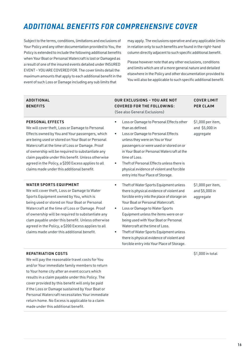### *ADDITIONAL BENEFITS FOR COMPREHENSIVE COVER*

Subject to the terms, conditions, limitations and exclusions of Your Policy and any other documentation provided to You, the Policy is extended to include the following additional benefits when Your Boat or Personal Watercraft is lost or Damaged as a result of one of the insured events detailed under INSURED EVENT – YOU ARE COVERED FOR. The cover limits detail the maximum amounts that apply to each additional benefit in the event of such Loss or Damage including any sub limits that

may apply. The exclusions operative and any applicable limits in relation only to such benefits are found in the right-hand column directly adjacent to such specific additional benefit.

Please however note that any other exclusions, conditions and limits which are of a more general nature and detailed elsewhere in the Policy and other documentation provided to You will also be applicable to such specific additional benefit.

| <b>ADDITIONAL</b><br><b>BENEFITS</b>                                                                                                                                                                                                                                                                                                                                                                                                                  | <b>OUR EXCLUSIONS - YOU ARE NOT</b><br><b>COVERED FOR THE FOLLOWING:</b><br>(See also General Exclusions)                                                                                                                                                                                                                                                                                                                                                                                          | <b>COVER LIMIT</b><br><b>PER CLAIM</b>           |
|-------------------------------------------------------------------------------------------------------------------------------------------------------------------------------------------------------------------------------------------------------------------------------------------------------------------------------------------------------------------------------------------------------------------------------------------------------|----------------------------------------------------------------------------------------------------------------------------------------------------------------------------------------------------------------------------------------------------------------------------------------------------------------------------------------------------------------------------------------------------------------------------------------------------------------------------------------------------|--------------------------------------------------|
| <b>PERSONAL EFFECTS</b><br>We will cover theft, Loss or Damage to Personal<br>Effects owned by You and Your passengers, which<br>are being used or stored on Your Boat or Personal<br>Watercraft at the time of Loss or Damage. Proof<br>of ownership will be required to substantiate any<br>claim payable under this benefit. Unless otherwise<br>agreed in the Policy, a \$200 Excess applies to all<br>claims made under this additional benefit. | Loss or Damage to Personal Effects other<br>$\bullet$<br>than as defined.<br>Loss or Damage to Personal Effects<br>$\bullet$<br>unless they were on You or Your<br>passengers or were used or stored on or<br>in Your Boat or Personal Watercraft at the<br>time of Loss.<br>Theft of Personal Effects unless there is<br>$\bullet$<br>physical evidence of violent and forcible<br>entry into Your Place of Storage.                                                                              | \$1,000 per item,<br>and \$5,000 in<br>aggregate |
| <b>WATER SPORTS EQUIPMENT</b><br>We will cover theft, Loss or Damage to Water<br>Sports Equipment owned by You, which is<br>being used or stored on Your Boat or Personal<br>Watercraft at the time of Loss or Damage. Proof<br>of ownership will be required to substantiate any<br>clam payable under this benefit. Unless otherwise<br>agreed in the Policy, a \$200 Excess applies to all<br>claims made under this additional benefit.           | Theft of Water Sports Equipment unless<br>$\bullet$<br>there is physical evidence of violent and<br>forcible entry into the place of storage on<br>Your Boat or Personal Watercraft.<br>Loss or Damage to Water Sports<br>$\bullet$<br>Equipment unless the items were on or<br>being used with Your Boat or Personal<br>Watercraft at the time of Loss.<br>Theft of Water Sports Equipment unless<br>٠<br>there is physical evidence of violent and<br>forcible entry into Your Place of Storage. | \$1,000 per item,<br>and \$5,000 in<br>aggregate |
|                                                                                                                                                                                                                                                                                                                                                                                                                                                       |                                                                                                                                                                                                                                                                                                                                                                                                                                                                                                    |                                                  |

#### REPATRIATION COSTS

We will pay the reasonable travel costs for You and/or Your immediate family members to return to Your home city after an event occurs which results in a claim payable under this Policy. The cover provided by this benefit will only be paid if the Loss or Damage sustained by Your Boat or Personal Watercraft necessitates Your immediate return home. No Excess is applicable to a claim made under this additional benefit.

\$1,000 in total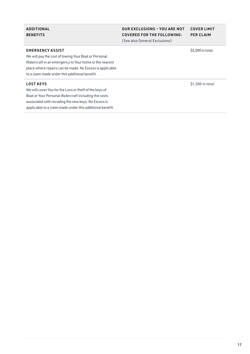#### ADDITIONAL **BENEFITS**

#### OUR EXCLUSIONS – YOU ARE NOT COVERED FOR THE FOLLOWING: (See also General Exclusions) COVER LIMIT

PER CLAIM

EMERGENCY ASSIST

We will pay the cost of towing Your Boat or Personal Watercraft in an emergency to Your home or the nearest place where repairs can be made. No Excess is applicable to a claim made under this additional benefit.

#### LOST KEYS

We will cover You for the Loss or theft of the keys of Boat or Your Personal Watercraft including the costs associated with recoding the new keys. No Excess is applicable to a claim made under this additional benefit. \$5,000 in total.

\$1,500 in total.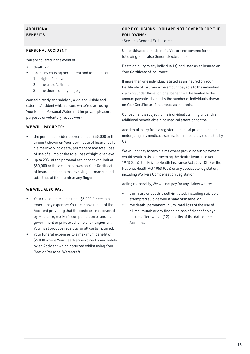#### ADDITIONAL **BENEFITS**

#### PERSONAL ACCIDENT

You are covered in the event of

- death; or
- an injury causing permanent and total loss of: 1. sight of an eye;
	- 2. the use of a limb;
	- 3. the thumb or any finger;

caused directly and solely by a violent, visible and external Accident which occurs while You are using Your Boat or Personal Watercraft for private pleasure purposes or voluntary rescue work.

#### WE WILL PAY UP TO:

- the personal accident cover limit of \$50,000 or the amount shown on Your Certificate of Insurance for claims involving death, permanent and total loss of use of a limb or the total loss of sight of an eye;
- up to 20% of the personal accident cover limit of \$50,000 or the amount shown on Your Certificate of Insurance for claims involving permanent and total loss of the thumb or any finger.

#### WE WILL ALSO PAY.

- Your reasonable costs up to \$5,000 for certain emergency expenses You incur as a result of the Accident providing that the costs are not covered by Medicare, worker's compensation or another government or private scheme or arrangement. You must produce receipts for all costs incurred.
- Your funeral expenses to a maximum benefit of \$5,000 where Your death arises directly and solely by an Accident which occurred whilst using Your Boat or Personal Watercraft.

#### OUR EXCLUSIONS – YOU ARE NOT COVERED FOR THE FOLLOWING:

(See also General Exclusions)

Under this additional benefit, You are not covered for the following: (see also General Exclusions)

Death or injury to any individual(s) not listed as an insured on Your Certificate of Insurance .

If more than one individual is listed as an insured on Your Certificate of Insurance the amount payable to the individual claiming under this additional benefit will be limited to the amount payable, divided by the number of individuals shown on Your Certificate of Insurance as insureds.

Our payment is subject to the individual claiming under this additional benefit obtaining medical attention for the

Accidental injury from a registered medical practitioner and undergoing any medical examination. reasonably requested by Us.

We will not pay for any claims where providing such payment would result in Us contravening the Health Insurance Act 1973 (Cth), the Private Health Insurance Act 2007 (Cth) or the National Health Act 1953 (Cth) or any applicable legislation, including Workers Compensation Legislation.

Acting reasonably, We will not pay for any claims where:

- the injury or death is self-inflicted, including suicide or attempted suicide whilst sane or insane; or
- the death, permanent injury, total loss of the use of a limb, thumb or any finger, or loss of sight of an eye occurs after twelve (12) months of the date of the Accident.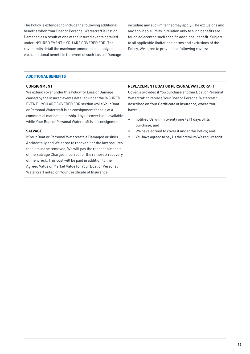The Policy is extended to include the following additional benefits when Your Boat or Personal Watercraft is lost or Damaged as a result of one of the insured events detailed under INSURED EVENT – YOU ARE COVERED FOR. The cover limits detail the maximum amounts that apply to each additional benefit in the event of such Loss of Damage including any sub limits that may apply. The exclusions and any applicable limits in relation only to such benefits are found adjacent to such specific additional benefit. Subject to all applicable limitations, terms and exclusions of the Policy, We agree to provide the following covers:

#### **ADDITIONAL BENEFITS**

#### **CONSIGNMENT**

We extend cover under this Policy for Loss or Damage caused by the insured events detailed under the INSURED EVENT – YOU ARE COVERED FOR section while Your Boat or Personal Watercraft is on consignment for sale at a commercial marine dealership. Lay up cover is not available while Your Boat or Personal Watercraft is on consignment.

#### SALVAGE

If Your Boat or Personal Watercraft is Damaged or sinks Accidentally and We agree to recover it or the law requires that it must be removed, We will pay the reasonable costs of the Salvage Charges incurred for the removal/ recovery of the wreck. This cost will be paid in addition to the Agreed Value or Market Value for Your Boat or Personal Watercraft noted on Your Certificate of Insurance.

#### REPLACEMENT BOAT OR PERSONAL WATERCRAFT

Cover is provided if You purchase another Boat or Personal Watercraft to replace Your Boat or Personal Watercraft described on Your Certificate of Insurance, where You have:

- notified Us within twenty one (21) days of its purchase; and
- We have agreed to cover it under the Policy; and
- You have agreed to pay Us the premium We require for it.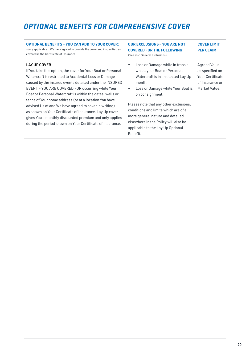### *OPTIONAL BENEFITS FOR COMPREHENSIVE COVER*

#### **OPTIONAL BENEFITS – YOU CAN ADD TO YOUR COVER:** (only applicable if We have agreed to provide the cover and if specified as

covered in the Certificate of Insurance)

#### LAY UP COVER

If You take this option, the cover for Your Boat or Personal Watercraft is restricted to Accidental Loss or Damage caused by the insured events detailed under the INSURED EVENT – YOU ARE COVERED FOR occurring while Your Boat or Personal Watercraft is within the gates, walls or fence of Your home address (or at a location You have advised Us of and We have agreed to cover in writing) as shown on Your Certificate of Insurance. Lay Up cover gives You a monthly discounted premium and only applies during the period shown on Your Certificate of Insurance.

#### **OUR EXCLUSIONS – YOU ARE NOT COVERED FOR THE FOLLOWING:** (See also General Exclusions) **COVER LIMIT PER CLAIM**

- Loss or Damage while in transit whilst your Boat or Personal Watercraft is in an elected Lay Up month.
- Loss or Damage while Your Boat is on consignment.

Please note that any other exclusions, conditions and limits which are of a more general nature and detailed elsewhere in the Policy will also be applicable to the Lay Up Optional Benefit.

Agreed Value as specified on Your Certificate of Insurance or Market Value.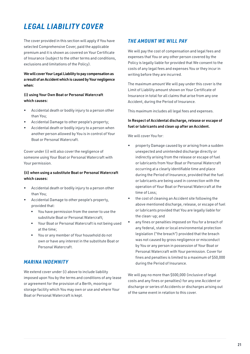### *LEGAL LIABILITY COVER*

The cover provided in this section will apply if You have selected Comprehensive Cover, paid the applicable premium and it is shown as covered on Your Certificate of Insurance (subject to the other terms and conditions, exclusions and limitations of the Policy).

#### We will cover Your Legal Liability to pay compensation as a result of an Accident which is caused by Your negligence when:

#### (i) using Your Own Boat or Personal Watercraft which causes:

- Accidental death or bodily injury to a person other than You;
- Accidental Damage to other people's property;
- Accidental death or bodily injury to a person when another person allowed by You is in control of Your Boat or Personal Watercraft.

Cover under (i) will also cover the negligence of someone using Your Boat or Personal Watercraft with Your permission.

#### (ii) when using a substitute Boat or Personal Watercraft which causes:

- Accidental death or bodily injury to a person other than You;
- Accidental Damage to other people's property, provided that:
	- You have permission from the owner to use the substitute Boat or Personal Watercraft;
	- Your Boat or Personal Watercraft is not being used at the time;
	- You or any member of Your household do not own or have any interest in the substitute Boat or Personal Watercraft.

#### *MARINA INDEMNITY*

We extend cover under (i) above to include liability imposed upon You by the terms and conditions of any lease or agreement for the provision of a Berth, mooring or storage facility which You may own or use and where Your Boat or Personal Watercraft is kept.

### *THE AMOUNT WE WILL PAY*

We will pay the cost of compensation and legal fees and expenses that You or any other person covered by the Policy is legally liable for provided that We consent to the costs of any legal fees and expenses You or they incur in writing before they are incurred.

The maximum amount We will pay under this cover is the Limit of Liability amount shown on Your Certificate of Insurance in total for all claims that arise from any one Accident, during the Period of Insurance.

This maximum includes all legal fees and expenses.

#### In Respect of Accidental discharge, release or escape of fuel or lubricants and clean up after an Accident.

We will cover You for:

- property Damage caused by or arising from a sudden unexpected and unintended discharge directly or indirectly arising from the release or escape of fuel or lubricants from Your Boat or Personal Watercraft occurring at a clearly identifiable time and place during the Period of Insurance, provided that the fuel or lubricants are being used in connection with the operation of Your Boat or Personal Watercraft at the time of Loss;
- the cost of cleaning an Accident site following the above mentioned discharge, release, or escape of fuel or lubricants provided that You are legally liable for the clean-up; and
- any fines or penalties imposed on You for a breach of any federal, state or local environmental protection legislation ("the breach") provided that the breach was not caused by gross negligence or misconduct by You or any person in possession of Your Boat or Personal Watercraft with Your permission. Cover for fines and penalties is limited to a maximum of \$50,000 during the Period of Insurance.

We will pay no more than \$500,000 (inclusive of legal costs and any fines or penalties) for any one Accident or discharge or series of Accidents or discharges arising out of the same event in relation to this cover.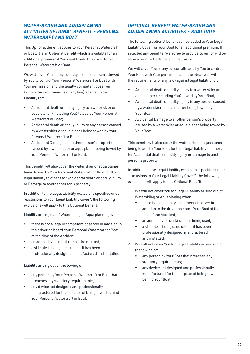#### *WATER-SKIING AND AQUAPLANING ACTIVITIES OPTIONAL BENEFIT – PERSONAL WATERCRAFT AND BOAT*

This Optional Benefit applies to Your Personal Watercraft or Boat. It is an Optional Benefit which is available for an additional premium if You want to add this cover for Your Personal Watercraft or Boat.

We will cover You or any suitably licenced person allowed by You to control Your Personal Watercraft or Boat with Your permission and the legally competent observer (within the requirements of any law) against Legal Liability for:

- Accidental death or bodily injury to a water skier or aqua planer (including You) towed by Your Personal Watercraft or Boat;
- Accidental death or bodily injury to any person caused by a water skier or aqua planer being towed by Your Personal Watercraft or Boat;
- Accidental Damage to another person's property caused by a water skier or aqua planer being towed by Your Personal Watercraft or Boat.

This benefit will also cover the water skier or aqua planer being towed by Your Personal Watercraft or Boat for their legal liability to others for Accidental death or bodily injury or Damage to another person's property.

In addition to the Legal Liability exclusions specified under "exclusions to Your Legal Liability cover", the following exclusions will apply to this Optional Benefit:

Liability arising out of Waterskiing or Aqua planning when:

- there is not a legally competent observer in addition to the driver on board Your Personal Watercraft or Boat at the time of the Accident;
- an aerial device or ski ramp is being used;
- a ski pole is being used unless it has been professionally designed, manufactured and installed.

Liability arising out of the towing of:

- any person by Your Personal Watercraft or Boat that breaches any statutory requirements;
- any device not designed and professionally manufactured for the purpose of being towed behind Your Personal Watercraft or Boat.

#### *OPTIONAL BENEFIT WATER-SKIING AND AQUAPLANING ACTIVITIES – BOAT ONLY*

The following optional benefit can be added to Your Legal Liability Cover for Your Boat for an additional premium. If selected any benefits, We agree to provide cover for will be shown on Your Certificate of Insurance.

We will cover You or any person allowed by You to control Your Boat with Your permission and the observer (within the requirements of any law) against legal liability for:

- Accidental death or bodily injury to a water skier or aqua planer (including You) towed by Your Boat;
- Accidental death or bodily injury to any person caused by a water skier or aqua planer being towed by Your Boat;
- Accidental Damage to another person's property caused by a water skier or aqua planer being towed by Your Boat.

This benefit will also cover the water skier or aqua planer being towed by Your Boat for their legal liability to others for Accidental death or bodily injury or Damage to another person's property.

In addition to the Legal Liability exclusions specified under "exclusions to Your Legal Liability Cover", the following exclusions will apply to this Optional Benefit:

- 1. We will not cover You for Legal Liability arising out of Waterskiing or Aquaplaning when:
	- there is not a legally competent observer in addition to the driver on board Your Boat at the time of the Accident;
	- an aerial device or ski ramp is being used;
	- a ski pole is being used unless it has been professionally designed, manufactured and installed.
- 2. We will not cover You for Legal Liability arising out of the towing of:
	- any person by Your Boat that breaches any statutory requirements;
	- any device not designed and professionally manufactured for the purpose of being towed behind Your Boat.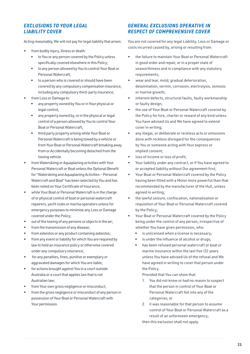#### *EXCLUSIONS TO YOUR LEGAL LIABILITY COVER*

Acting reasonably, We will not pay for legal liability that arises:

- from bodily injury, illness or death:
	- to You or any person covered by the Policy unless specifically covered elsewhere in this Policy;
	- to any person allowed by You to control Your Boat or Personal Watercraft;
	- to a person who is covered or should have been covered by any compulsory compensation insurance, including any compulsory third-party insurance;
- from Loss or Damage to:
	- any property owned by You or in Your physical or legal control;
	- any property owned by, or in the physical or legal control of a person allowed by You to control Your Boat or Personal Watercraft;
	- third party property arising while Your Boat or Personal Watercraft is being towed by a vehicle or from Your Boat or Personal Watercraft breaking away from or Accidentally becoming detached from the towing vehicle.
- from Waterskiing or Aquaplaning activities with Your Personal Watercraft or Boat unless the Optional Benefit for "Waterskiing and Aquaplaning Activities – Personal Watercraft and Boat" has been selected by You and has been noted on Your Certificate of Insurance;
- while Your Boat or Personal Watercraft is in the charge of or physical control of boat or personal watercraft repairers, yacht clubs or marina operators unless for emergency purposes to minimise any Loss or Damage covered under the Policy;
- out of the towing of any persons or objects in the air;
- from the transmission of any disease;
- from asbestos or any product containing asbestos;
- from any event or liability for which You are required by law to hold an insurance policy or otherwise covered under any compulsory insurance;
- for any penalties, fines, punitive or exemplary or aggravated damages for which You are liable;
- for actions brought against You in a court outside Australia or a court that applies law that is not Australian law;
- from Your own gross negligence or misconduct;
- from the gross negligence or misconduct of any person in possession of Your Boat or Personal Watercraft with Your permission.

#### *GENERAL EXCLUSIONS OPERATIVE IN RESPECT OF COMPREHENSIVE COVER*

You are not covered for any legal Liability, Loss or Damage or costs incurred caused by, arising or resulting from:

- the failure to maintain Your Boat or Personal Watercraft in good order and repair, or in a proper state of seaworthiness and in compliance with any statutory requirements;
- wear and tear, mold, gradual deterioration, delamination, vermin, corrosion, electrolysis, osmosis or marine growth;
- inherent defects, structural faults, faulty workmanship or faulty design;
- the use of Your Boat or Personal Watercraft covered by the Policy for hire, charter or reward of any kind unless You have advised Us and We have agreed to extend cover in writing;
- any illegal, or deliberate or reckless acts or omissions done with reckless disregard for the consequences by You or someone acting with Your express or implied consent;
- loss of income or loss of profit;
- Your liability under any contract, or if You have agreed to or accepted liability without Our agreement first;
- Your Boat or Personal Watercraft covered by the Policy having been fitted with a Motor more powerful than that recommended by the manufacturer of the Hull, unless agreed in writing;
- the lawful seizure, confiscation, nationalisation or requisition of Your Boat or Personal Watercraft covered by the Policy;
- Your Boat or Personal Watercraft covered by the Policy being under the control of any person, irrespective of whether You have given permission, who:
	- is unlicensed when a license is necessary;
	- is under the influence of alcohol or drugs;
	- has been refused personal watercraft or boat or marine insurance within the last five (5) years unless You have advised Us of the refusal and We have agreed in writing to cover that person under the Policy.

Provided that You can show that:

- 1. You did not know or had no reason to suspect that the person in control of Your Boat or Personal Watercraft fell into any of the categories; or
- 2. it was reasonable for that person to assume control of Your Boat or Personal Watercraft as a result of an unforeseen emergency;

then this exclusion shall not apply.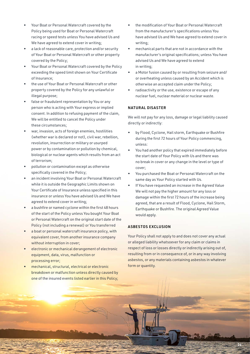- Your Boat or Personal Watercraft covered by the Policy being used for Boat or Personal Watercraft racing or speed tests unless You have advised Us and We have agreed to extend cover in writing;
- a lack of reasonable care, protection and/or security of Your Boat or Personal Watercraft or other property covered by the Policy;
- Your Boat or Personal Watercraft covered by the Policy exceeding the speed limit shown on Your Certificate of Insurance;
- the use of Your Boat or Personal Watercraft or other property covered by the Policy for any unlawful or illegal purpose;
- false or fraudulent representation by You or any person who is acting with Your express or implied consent. In addition to refusing payment of the claim, We will be entitled to cancel the Policy under these circumstances;
- war, invasion, acts of foreign enemies, hostilities (whether war is declared or not), civil war, rebellion, revolution, insurrection or military or usurped power or by contamination or pollution by chemical, biological or nuclear agents which results from an act of terrorism;
- pollution or contamination except as otherwise specifically covered in the Policy;
- an incident involving Your Boat or Personal Watercraft while it is outside the Geographic Limits shown on Your Certificate of Insurance unless specified in this insurance or unless You have advised Us and We have agreed to extend cover in writing;
- a bushfire or named cyclone within the first 48 hours of the start of the Policy unless You bought Your Boat or Personal Watercraft on the original start date of the Policy (not including a renewal) or You transferred
- a boat or personal watercraft insurance policy, with equivalent cover, from another insurance company without interruption in cover;
- electronic or mechanical derangement of electronic equipment, data, virus, malfunction or processing error;
- mechanical, structural, electrical or electronic breakdown or malfunction unless directly caused by one of the insured events listed earlier in this Policy;
- the modification of Your Boat or Personal Watercraft from the manufacturer's specifications unless You have advised Us and We have agreed to extend cover in writing;
- mechanical parts that are not in accordance with the manufacturer's original specifications; unless You have advised Us and We have agreed to extend in writing;
- a Motor fusion caused by or resulting from seizure and/ or overheating unless caused by an Accident which is otherwise an accepted claim under the Policy;
- radioactivity or the use, existence or escape of any nuclear fuel, nuclear material or nuclear waste.

#### NATURAL DISASTER

We will not pay for any loss, damage or legal liability caused directly or indirectly:

- by Flood, Cyclone, Hail storm, Earthquake or Bushfire during the first 72 hours of Your Policy commencing, unless:
- You had another policy that expired immediately before the start date of Your Policy with Us and there was no break in cover or any change in the level or type of cover;
- You purchased the Boat or Personal Watercraft on the same day as Your Policy started with Us.
- If You have requested an increase in the Agreed Value We will not pay the higher amount for any loss or damage within the first 72 hours of the increase being agreed, that are a result of Flood, Cyclone, Hail Storm, Earthquake or Bushfire. The original Agreed Value would apply.

#### ASBESTOS EXCLUSION

Your Policy shall not apply to and does not cover any actual or alleged liability whatsoever for any claim or claims in respect of loss or losses directly or indirectly arising out of, resulting from or in consequence of, or in any way involving asbestos, or any materials containing asbestos in whatever form or quantity.

24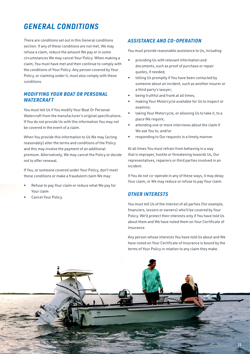### *GENERAL CONDITIONS*

There are conditions set out in this General conditions section. If any of these conditions are not met, We may refuse a claim, reduce the amount We pay or in some circumstances We may cancel Your Policy. When making a claim, You must have met and then continue to comply with the conditions of Your Policy. Any person covered by Your Policy, or claiming under it, must also comply with these conditions.

#### *MODIFYING YOUR BOAT OR PERSONAL WATERCRAFT*

You must tell Us if You modify Your Boat Or Personal Watercraft from the manufacturer's original specifications. If You do not provide Us with this information You may not be covered in the event of a claim.

When You provide this information to Us We may (acting reasonably) alter the terms and conditions of the Policy and this may involve the payment of an additional premium. Alternatively, We may cancel the Policy or decide not to offer renewal.

If You, or someone covered under Your Policy, don't meet these conditions or make a fraudulent claim We may:

- Refuse to pay Your claim or reduce what We pay for Your claim
- Cancel Your Policy.

#### *ASSISTANCE AND CO-OPERATION*

You must provide reasonable assistance to Us, including:

- providing Us with relevant information and documents, such as proof of purchase or repair quotes, if needed;
- telling Us promptly if You have been contacted by someone about an incident, such as another insurer or a third party's lawyer;
- being truthful and frank at all times;
- making Your Motorcycle available for Us to inspect or examine;
- taking Your Motorcycle, or allowing Us to take it, to a place We require;
- attending one or more interviews about the claim if We ask You to; and/or
- responding to Our requests in a timely manner.

At all times You must refrain from behaving in a way that is improper, hostile or threatening towards Us, Our representatives, repairers or third parties involved in an incident.

If You do not co-operate in any of these ways, it may delay Your claim, or We may reduce or refuse to pay Your claim.

#### *OTHER INTERESTS*

You must tell Us of the interest of all parties (for example, financiers, lessors or owners) who'll be covered by Your Policy. We'll protect their interests only if You have told Us about them and We have noted them on Your Certificate of Insurance.

Any person whose interests You have told Us about and We have noted on Your Certificate of Insurance is bound by the terms of Your Policy in relation to any claim they make.

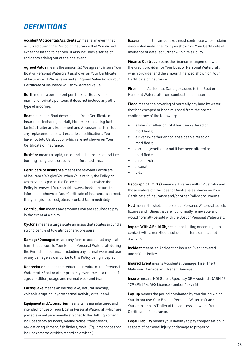### *DEFINITIONS*

Accident/Accidental/Accidentally means an event that occurred during the Period of Insurance that You did not expect or intend to happen. It also includes a series of accidents arising out of the one event.

Agreed Value means the amount(s) We agree to insure Your Boat or Personal Watercraft as shown on Your Certificate of Insurance. If We have issued an Agreed Value Policy Your Certificate of Insurance will show Agreed Value.

Berth means a permanent pen for Your Boat within a marina, or private pontoon, it does not include any other type of mooring.

Boat means the Boat described on Your Certificate of Insurance, including its Hull, Motor(s) (including fuel tanks), Trailer and Equipment and Accessories. It includes any replacement boat. It excludes modifications You have not told Us about or which are not shown on Your Certificate of Insurance.

Bushfire means a rapid, uncontrolled, non-structural fire burning in a grass, scrub, bush or forested area.

Certificate of Insurance means the relevant Certificate of Insurance We give You when You first buy the Policy or whenever any part of the Policy is changed or when the Policy is renewed. You should always check to ensure the information shown on Your Certificate of Insurance is correct. If anything is incorrect, please contact Us immediately.

Contribution means any amounts you are required to pay in the event of a claim.

Cyclone means a large scale air mass that rotates around a strong centre of low atmospheric pressure.

Damage/Damaged means any form of accidental physical harm that occurs to Your Boat or Personal Watercraft during the Period of Insurance, excluding any normal wear and tear or any damage evident prior to this Policy being incepted.

Depreciation means the reduction in value of the Personal Watercraft/Boat or other property over time as a result of age, condition, usage and normal wear and tear.

Earthquake means an earthquake, natural landslip, volcanic eruption, hydrothermal activity or tsunami.

Equipment and Accessories means items manufactured and intended for use on Your Boat or Personal Watercraft which are portable or not permanently attached to the Hull. Equipment includes depth sounders, marine radios/ transceivers, navigation equipment, fish finders, tools. (Equipment does not include cameras or video recording devices.)

Excess means the amount You must contribute when a claim is accepted under the Policy as shown on Your Certificate of Insurance or detailed further within this Policy.

Finance Contract means the finance arrangement with the credit provider for Your Boat or Personal Watercraft which provider and the amount financed shown on Your Certificate of Insurance.

Fire means Accidental Damage caused to the Boat or Personal Watercraft from combustion of materials.

Flood means the covering of normally dry land by water that has escaped or been released from the normal confines any of the following:

- a lake (whether or not it has been altered or modified);
- a river (whether or not it has been altered or modified);
- a creek (whether or not it has been altered or modified);
- a reservoir;
- a canal;
- a dam.

Geographic Limit(s) means all waters within Australia and those waters off the coast of Australia as shown on Your Certificate of Insurance and/or other Policy documents.

Hull means the shell of the Boat or Personal Watercraft, deck, fixtures and fittings that are not normally removable and would normally be sold with the Boat or Personal Watercraft.

Impact With A Solid Object means hitting or coming into contact with a non-liquid substance (for example, not a wave).

Incident means an Accident or Insured Event covered under Your Policy.

Insured Event means Accidental Damage, Fire, Theft, Malicious Damage and Transit Damage.

Insurer means HDI Global Specialty SE – Australia (ABN 58 129 395 544, AFS Licence number 458776)

Lay-up means the period nominated by You during which You do not use Your Boat or Personal Watercraft and You keep it on its Trailer at the address shown on Your Certificate of Insurance.

Legal Liability means your liability to pay compensation in respect of personal injury or damage to property.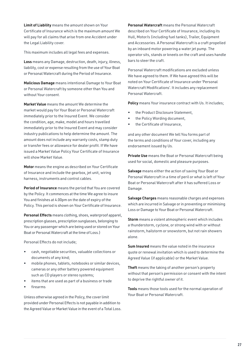Limit of Liability means the amount shown on Your Certificate of Insurance which is the maximum amount We will pay for all claims that arise from one Accident under the Legal Liability cover.

This maximum includes all legal fees and expenses.

Loss means any Damage, destruction, death, injury, illness, liability, cost or expense resulting from the use of Your Boat or Personal Watercraft during the Period of Insurance.

Malicious Damage means intentional Damage to Your Boat or Personal Watercraft by someone other than You and without Your consent.

Market Value means the amount We determine the market would pay for Your Boat or Personal Watercraft immediately prior to the Insured Event. We consider the condition, age, make, model and hours travelled immediately prior to the Insured Event and may consider industry publications to help determine the amount. The amount does not include any warranty costs, stamp duty or transfer fees or allowance for dealer profit. If We have issued a Market Value Policy Your Certificate of Insurance will show Market Value.

Motor means the engine as described on Your Certificate of Insurance and include the gearbox, jet unit, wiring harness, instruments and control cables.

Period of Insurance means the period that You are covered by the Policy. It commences at the time We agree to insure You and finishes at 4.00pm on the date of expiry of the Policy. This period is shown on Your Certificate of Insurance.

Personal Effects means clothing, shoes, waterproof apparel, prescription glasses, prescription sunglasses, belonging to You or any passenger which are being used or stored on Your Boat or Personal Watercraft at the time of Loss.)

Personal Effects do not include;

- cash, negotiable securities, valuable collections or documents of any kind;
- mobile phones, tablets, notebooks or similar devices, cameras or any other battery powered equipment such as CD players or stereo systems;
- items that are used as part of a business or trade
- firearms

Unless otherwise agreed in the Policy, the cover limit provided under Personal Effects is not payable in addition to the Agreed Value or Market Value in the event of a Total Loss.

Personal Watercraft means the Personal Watercraft described on Your Certificate of Insurance, including its Hull, Motor/s (including fuel tanks), Trailer, Equipment and Accessories. A Personal Watercraft is a craft propelled by an inboard motor powering a water jet pump. The operator sits, stands or kneels on the craft and uses handle bars to steer the craft.

Personal Watercraft modifications are excluded unless We have agreed to them. If We have agreed this will be noted on Your Certificate of Insurance under 'Personal Watercraft Modifications'. It includes any replacement Personal Watercraft.

Policy means Your insurance contract with Us. It includes;

- the Product Disclosure Statement,
- the Policy Wording document,
- the Certificate of Insurance,

and any other document We tell You forms part of the terms and conditions of Your cover, including any endorsement issued by Us.

Private Use means the Boat or Personal Watercraft being used for social, domestic and pleasure purposes.

Salvage means either the action of saving Your Boat or Personal Watercraft in a time of peril or what is left of Your Boat or Personal Watercraft after it has suffered Loss or Damage.

Salvage Charges means reasonable charges and expenses which are incurred in Salvage or in preventing or minimising Loss or Damage to Your Boat or Personal Watercraft.

Storm means a violent atmospheric event which includes a thunderstorm, cyclone, or strong wind with or without rainstorm, hailstorm or snowstorm, but not rain showers alone.

Sum Insured means the value noted in the insurance quote or renewal invitation which is used to determine the Agreed Value (if applicable) or the Market Value.

Theft means the taking of another person's property without that person's permission or consent with the intent to deprive the rightful owner of it.

Tools means those tools used for the normal operation of Your Boat or Personal Watercraft.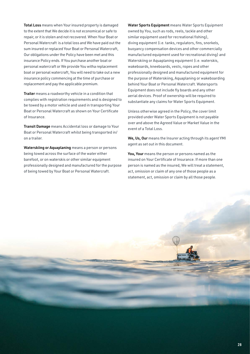Total Loss means when Your insured property is damaged to the extent that We decide it is not economical or safe to repair, or it is stolen and not recovered. When Your Boat or Personal Watercraft is a total loss and We have paid out the sum insured or replaced Your Boat or Personal Watercraft, Our obligations under the Policy have been met and this insurance Policy ends. If You purchase another boat or personal watercraft or We provide You witha replacement boat or personal watercraft, You will need to take out a new insurance policy commencing at the time of purchase or replacement and pay the applicable premium.

Trailer means a roadworthy vehicle in a condition that complies with registration requirements and is designed to be towed by a motor vehicle and used in transporting Your Boat or Personal Watercraft as shown on Your Certificate of Insurance.

Transit Damage means Accidental loss or damage to Your Boat or Personal Watercraft whilst being transported in/ on a trailer.

Waterskiing or Aquaplaning means a person or persons being towed across the surface of the water either barefoot, or on waterskis or other similar equipment professionally designed and manufactured for the purpose of being towed by Your Boat or Personal Watercraft.

Water Sports Equipment means Water Sports Equipment owned by You, such as rods, reels, tackle and other similar equipment used for recreational fishing), diving equipment (i.e. tanks, regulators, fins, snorkels, buoyancy compensation devices and other commercially manufactured equipment used for recreational diving) and Waterskiing or Aquaplaning equipment (i.e. waterskis, wakeboards, kneeboards, vests, ropes and other professionally designed and manufactured equipment for the purpose of Waterskiing, Aquaplaning or wakeboarding behind Your Boat or Personal Watercraft. Watersports Equipment does not include fly boards and any other aerial devices. Proof of ownership will be required to substantiate any claims for Water Sports Equipment.

Unless otherwise agreed in the Policy, the cover limit provided under Water Sports Equipment is not payable over and above the Agreed Value or Market Value in the event of a Total Loss.

We, Us, Our means the Insurer acting through its agent YMI agent as set out in this document.

You, Your means the person or persons named as the insured on Your Certificate of Insurance. If more than one person is named as the insured, We will treat a statement, act, omission or claim of any one of those people as a statement, act, omission or claim by all those people.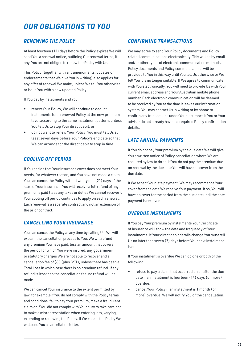### *OUR OBLIGATIONS TO YOU*

#### *RENEWING THE POLICY*

At least fourteen (14) days before the Policy expires We will send You a renewal notice, outlining Our renewal terms, if any. You are not obliged to renew the Policy with Us.

This Policy (together with any amendments, updates or endorsements that We give You in writing) also applies for any offer of renewal We make, unless We tell You otherwise or issue You with a new updated Policy.

If You pay by instalments and You:

- renew Your Policy, We will continue to deduct instalments for a renewed Policy at the new premium level according to the same instalment pattern, unless You tell Us to stop Your direct debit; or
- do not want to renew Your Policy, You must tell Us at least seven days before Your Policy's end date so that We can arrange for the direct debit to stop in time.

#### *COOLING OFF PERIOD*

If You decide that Your insurance cover does not meet Your needs, for whatever reason, and You have not made a claim, You can cancel the Policy within twenty one (21) days of the start of Your insurance. You will receive a full refund of any premiums paid (less any taxes or duties We cannot recover). Your cooling off period continues to apply on each renewal. Each renewal is a separate contract and not an extension of the prior contract.

#### *CANCELLING YOUR INSURANCE*

You can cancel the Policy at any time by calling Us. We will explain the cancellation process to You. We will refund any premium You have paid, less an amount that covers the period for which You were insured, any government or statutory charges We are not able to recover and a cancellation fee of \$30 (plus GST), unless there has been a Total Loss in which case there is no premium refund. If any refund is less than the cancellation fee, no refund will be made.

We can cancel Your insurance to the extent permitted by law, for example if You do not comply with the Policy terms and conditions, fail to pay Your premium, make a fraudulent claim or if You did not comply with Your duty to take care not to make a misrepresentation when entering into, varying, extending or renewing the Policy. If We cancel the Policy We will send You a cancellation letter.

#### *CONFIRMING TRANSACTIONS*

We may agree to send Your Policy documents and Policy related communications electronically. This will be by email and/or other types of electronic communication methods. Policy documents and Policy communications will be provided to You in this way until You tell Us otherwise or We tell You it is no longer suitable. If We agree to communicate with You electronically, You will need to provide Us with Your current email address and Your Australian mobile phone number. Each electronic communication will be deemed to be received by You at the time it leaves our information system. You may contact Us in writing or by phone to confirm any transactions under Your insurance if You or Your advisor do not already have the required Policy confirmation details.

#### *LATE ANNUAL PAYMENTS*

If You do not pay Your premium by the due date We will give You a written notice of Policy cancellation where We are required by law to do so. If You do not pay the premium due on renewal by the due date You will have no cover from the due date.

If We accept Your late payment, We may recommence Your cover from the date We receive Your payment. If so, You will have no cover for the period from the due date until the date payment is received.

#### *OVERDUE INSTALMENTS*

If You pay Your premium by instalments Your Certificate of Insurance will show the date and frequency of Your instalments. If Your direct debit details change You must tell Us no later than seven (7) days before Your next instalment is due.

If Your instalment is overdue We can do one or both of the following:-

- refuse to pay a claim that occurred on or after the due date if an instalment is fourteen (14) days (or more) overdue;
- cancel Your Policy if an instalment is 1 month (or more) overdue. We will notify You of the cancellation.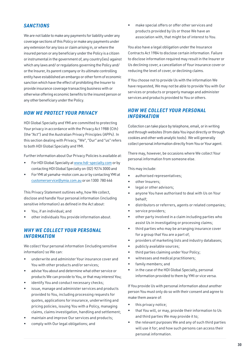#### *SANCTIONS*

We are not liable to make any payments for liability under any coverage sections of this Policy or make any payments under any extension for any loss or claim arising in, or where the insured person or any beneficiary under the Policy is a citizen or instrumental in the government of, any country(ies) against which any laws and/ or regulations governing the Policy and/ or the Insurer, its parent company or its ultimate controlling entity have established an embargo or other form of economic sanction which have the effect of prohibiting the Insurer to provide insurance coverage transacting business with or otherwise offering economic benefits to the insured person or any other beneficiary under the Policy.

#### *HOW WE PROTECT YOUR PRIVACY*

HDI Global Specialty and YMI are committed to protecting Your privacy in accordance with the Privacy Act 1988 (Cth) (the "Act") and the Australian Privacy Principles (APPs). In this section dealing with Privacy, "We", "Our" and "us" refers to both HDI Global Specialty and YMI.

Further information about Our Privacy Policies is available at:

- For HDI Global Specialty at [www.hdi-specialty.com](http://www.hdi-specialty.com) or by contacting HDI Global Specialty on (02) 9274 3000 and
- For YMI at yamaha-motor.com.au or by contacting YMI at [customerservice@ymia.com.au](mailto:customerservice@ymia.com.au) or on 1300 780 446

This Privacy Statement outlines why, how We collect, disclose and handle Your personal information (including sensitive information) as defined in the Act about:

- You, if an individual; and
- other individuals You provide information about.

#### *WHY WE COLLECT YOUR PERSONAL INFORMATION*

We collect Your personal information (including sensitive information) so We can:

- underwrite and administer Your insurance cover and You with other products and/or services;
- advise You about and determine what other service or products We can provide to You, or that may interest You;
- identify You and conduct necessary checks;
- issue, manage and administer services and products provided to You, including processing requests for quotes, applications for insurance, underwriting and pricing policies, issuing You with a Policy, managing claims, claims investigation, handling and settlement;
- maintain and improve Our services and products;
- comply with Our legal obligations; and

• make special offers or offer other services and products provided by Us or those We have an association with, that might be of interest to You.

You also have a legal obligation under the Insurance Contracts Act 1984 to disclose certain information. Failure to disclose information required may result in the Insurer or Us declining cover, a cancellation of Your insurance cover or reducing the level of cover, or declining claims.

If You choose not to provide Us with the information We have requested, We may not be able to provide You with Our services or products or properly manage and administer services and products provided to You or others.

#### *HOW WE COLLECT YOUR PERSONAL INFORMATION*

Collection can take place by telephone, email, or in writing and through websites (from data You input directly or through cookies and other web analytic tools). We will generally collect personal information directly from You or Your agent.

There may, however, be occasions where We collect Your personal information from someone else.

This may include:

- authorised representatives;
- other Insurers;
- legal or other advisors;
- anyone You have authorised to deal with Us on Your behalf;
- distributors or referrers, agents or related companies;
- service providers;
- other party involved in a claim including parties who assist Us in investigating or processing claims;
- third parties who may be arranging insurance cover for a group that You are a part of;
- providers of marketing lists and industry databases;
- publicly available sources;
- third parties claiming under Your Policy;
- witnesses and medical practitioners;
- family members; and
- in the case of the HDI Global Specialty, personal information provided to them by YMI or vice versa.

If You provide Us with personal information about another person You must only do so with their consent and agree to make them aware of:

- this privacy notice;
- that You will, or may, provide their information to Us and third parties We may provide it to;
- the relevant purposes We and any of such third parties will use it for; and how such persons can access their personal information.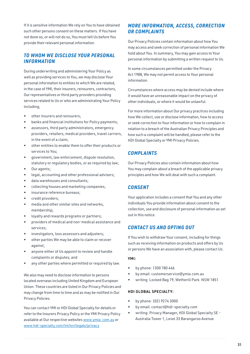If it is sensitive information We rely on You to have obtained such other persons consent on these matters. If You have not done so, or will not do so, You must tell Us before You provide their relevant personal information.

#### *TO WHOM WE DISCLOSE YOUR PERSONAL INFORMATION*

During underwriting and administering Your Policy as well as providing services to You, we may disclose Your personal information to entities to which We are related, in the case of YMI, their insurers, reinsurers, contractors, Our representatives or third party providers providing services related to Us or who are administrating Your Policy including;

- other insurers and reinsurers;
- banks and financial institutions for Policy payments;
- assessors, third party administrators, emergency providers, retailers, medical providers, travel carriers, in the event of a claim;
- other entities to enable them to offer their products or services to You;
- government, law enforcement, dispute resolution, statutory or regulatory bodies, or as required by law;
- Our agents:
- legal, accounting and other professional advisers;
- data warehouses and consultants;
- collecting houses and marketing companies;
- insurance reference bureaus;
- credit providers;
- media and other similar sites and networks, membership;
- loyalty and rewards programs or partners;
- providers of medical and non-medical assistance and services;
- investigators, loss assessors and adjusters;
- other parties We may be able to claim or recover against;
- anyone either of Us appoint to review and handle complaints or disputes; and
- any other parties where permitted or required by law.

We also may need to disclose information to persons located overseas including United Kingdom and European Union. These countries are listed in Our Privacy Policies and may change from time to time and as may be notified in Our Privacy Policies.

You can contact YMI or HDI Global Specialty for details or refer to the Insurers Privacy Policy or the YMI Privacy Policy available at Our respective websites [www.ymia. com.au](http://www.ymia. com.au) or [www.hdi-specialty.com/int/en/legals/privacy](http://www.hdi-specialty.com/int/en/legals/privacy)

#### *MORE INFORMATION, ACCESS, CORRECTION OR COMPLAINTS*

Our Privacy Policies contain information about how You may access and seek correction of personal information We hold about You. In summary, You may gain access to Your personal information by submitting a written request to Us.

In some circumstances permitted under the Privacy Act 1988, We may not permit access to Your personal information.

Circumstances where access may be denied include where it would have an unreasonable impact on the privacy of other individuals, or where it would be unlawful.

For more information about Our privacy practices including how We collect, use or disclose information, how to access or seek correction to Your information or how to complain in relation to a breach of the Australian Privacy Principles and how such a complaint will be handled, please refer to the HDI Global Specialty or YMI Privacy Policies.

#### *COMPLAINTS*

Our Privacy Policies also contain information about how You may complain about a breach of the applicable privacy principles and how We will deal with such a complaint.

#### *CONSENT*

Your application includes a consent that You and any other individuals You provide information about consent to the collection, use and disclosure of personal information as set out in this notice.

#### *CONTACT US AND OPTING OUT*

If You wish to withdraw Your consent, including for things such as receiving information on products and offers by Us or persons We have an association with, please contact Us.

#### YMI:

- by phone: 1300 780 446
- by email: customerservice@ymia.com.au
- writing: Locked Bag 79, Wetherill Park. NSW 1851

#### HDI GLOBAL SPECIALTY:

- by phone: (02) 9274 3000
- by email: contact@hdi-specialty.com
- writing: Privacy Manager, HDI Global Specialty SE Australia Tower 1, Level 33 Barangaroo Avenue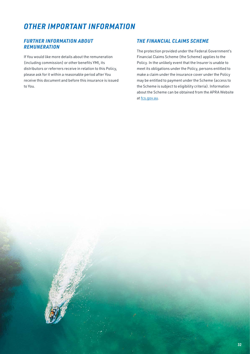### *OTHER IMPORTANT INFORMATION*

#### *FURTHER INFORMATION ABOUT REMUNERATION*

If You would like more details about the remuneration (including commission) or other benefits YMI, its distributors or referrers receive in relation to this Policy, please ask for it within a reasonable period after You receive this document and before this insurance is issued to You.

#### *THE FINANCIAL CLAIMS SCHEME*

The protection provided under the Federal Government's Financial Claims Scheme (the Scheme) applies to the Policy. In the unlikely event that the Insurer is unable to meet its obligations under the Policy, persons entitled to make a claim under the insurance cover under the Policy may be entitled to payment under the Scheme (access to the Scheme is subject to eligibility criteria). Information about the Scheme can be obtained from the APRA Website at [fcs.gov.au](http://fcs.gov.au).